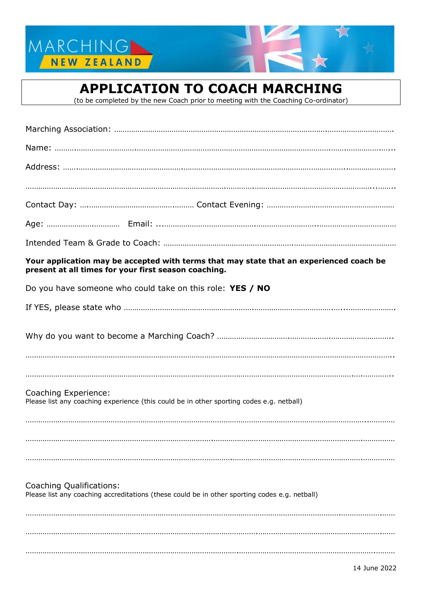



(to be completed by the new Coach prior to meeting with the Coaching Co-ordinator)